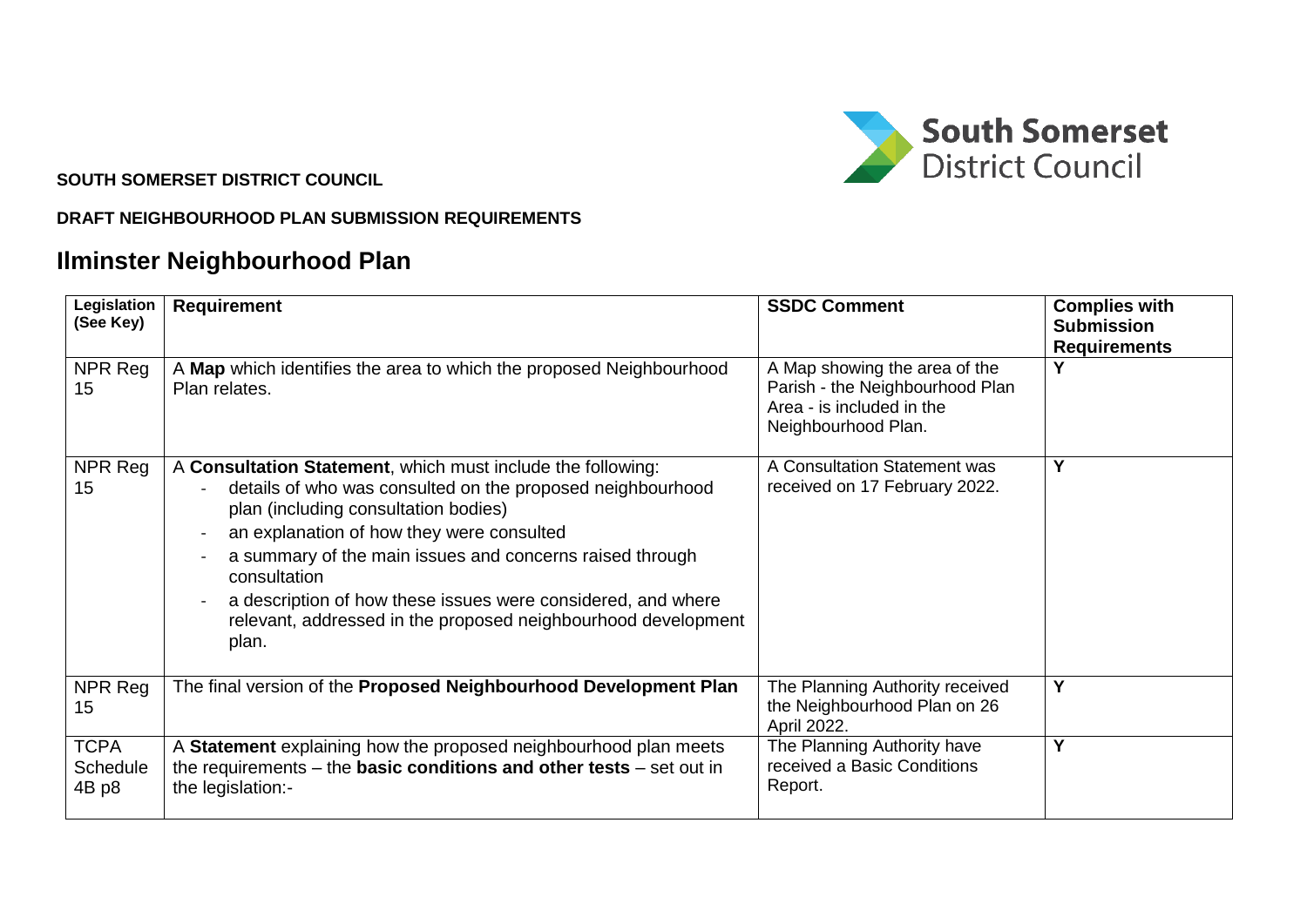

## **SOUTH SOMERSET DISTRICT COUNCIL**

## **DRAFT NEIGHBOURHOOD PLAN SUBMISSION REQUIREMENTS**

## **Ilminster Neighbourhood Plan**

| Legislation<br>(See Key)         | <b>Requirement</b>                                                                                                                                                                                                                                                                                                                                                                                                                   | <b>SSDC Comment</b>                                                                                                  | <b>Complies with</b><br><b>Submission</b><br><b>Requirements</b> |
|----------------------------------|--------------------------------------------------------------------------------------------------------------------------------------------------------------------------------------------------------------------------------------------------------------------------------------------------------------------------------------------------------------------------------------------------------------------------------------|----------------------------------------------------------------------------------------------------------------------|------------------------------------------------------------------|
| NPR Reg<br>15                    | A Map which identifies the area to which the proposed Neighbourhood<br>Plan relates.                                                                                                                                                                                                                                                                                                                                                 | A Map showing the area of the<br>Parish - the Neighbourhood Plan<br>Area - is included in the<br>Neighbourhood Plan. |                                                                  |
| NPR Reg<br>15                    | A Consultation Statement, which must include the following:<br>details of who was consulted on the proposed neighbourhood<br>plan (including consultation bodies)<br>an explanation of how they were consulted<br>a summary of the main issues and concerns raised through<br>consultation<br>a description of how these issues were considered, and where<br>relevant, addressed in the proposed neighbourhood development<br>plan. | A Consultation Statement was<br>received on 17 February 2022.                                                        | Y                                                                |
| NPR Reg<br>15                    | The final version of the Proposed Neighbourhood Development Plan                                                                                                                                                                                                                                                                                                                                                                     | The Planning Authority received<br>the Neighbourhood Plan on 26<br>April 2022.                                       | Y                                                                |
| <b>TCPA</b><br>Schedule<br>4B p8 | A Statement explaining how the proposed neighbourhood plan meets<br>the requirements $-$ the <b>basic conditions and other tests</b> $-$ set out in<br>the legislation:-                                                                                                                                                                                                                                                             | The Planning Authority have<br>received a Basic Conditions<br>Report.                                                | Y                                                                |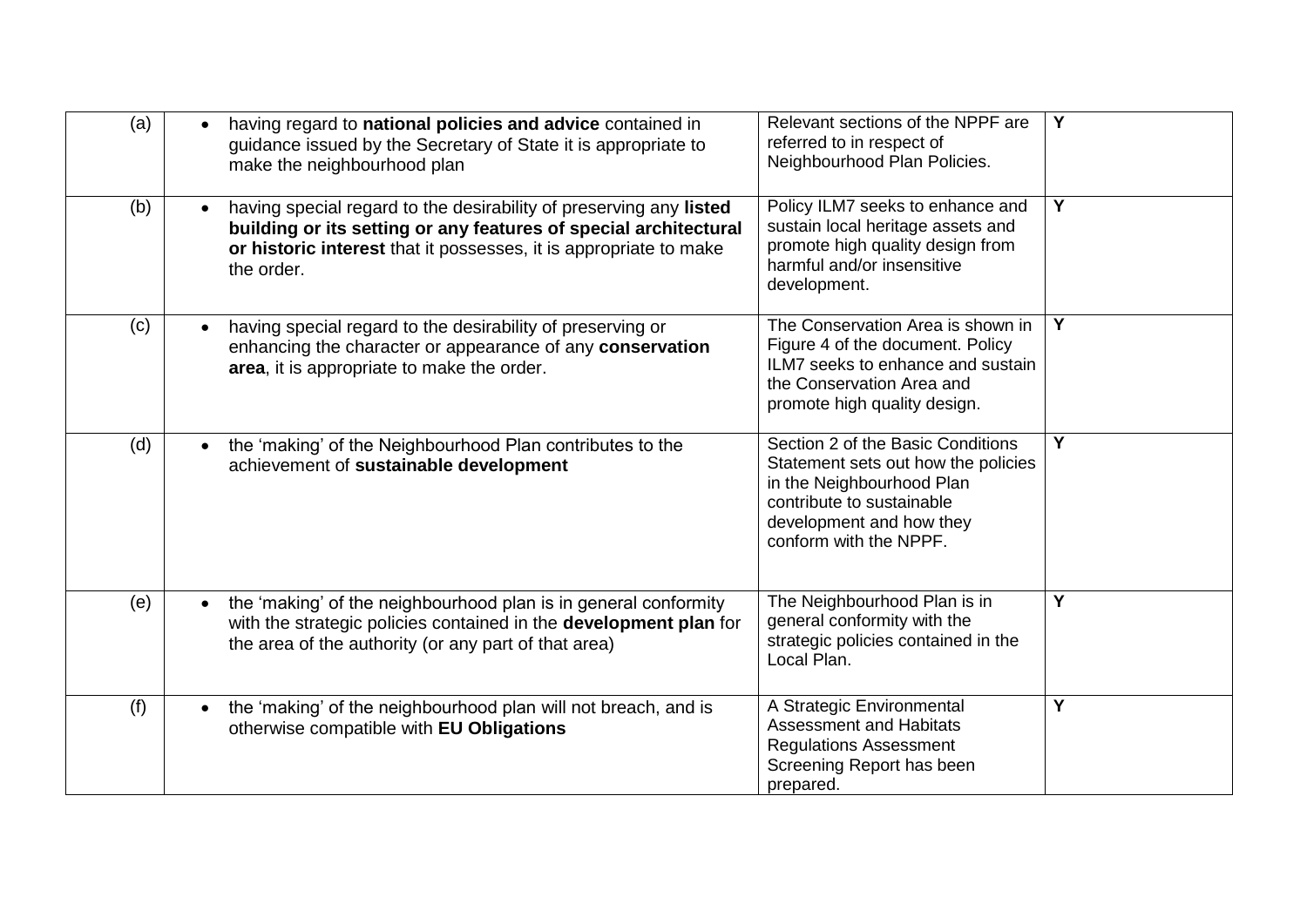| (a) | having regard to national policies and advice contained in<br>guidance issued by the Secretary of State it is appropriate to<br>make the neighbourhood plan                                                               | Relevant sections of the NPPF are<br>referred to in respect of<br>Neighbourhood Plan Policies.                                                                                           | $\overline{Y}$ |
|-----|---------------------------------------------------------------------------------------------------------------------------------------------------------------------------------------------------------------------------|------------------------------------------------------------------------------------------------------------------------------------------------------------------------------------------|----------------|
| (b) | having special regard to the desirability of preserving any listed<br>building or its setting or any features of special architectural<br>or historic interest that it possesses, it is appropriate to make<br>the order. | Policy ILM7 seeks to enhance and<br>sustain local heritage assets and<br>promote high quality design from<br>harmful and/or insensitive<br>development.                                  | Y              |
| (c) | having special regard to the desirability of preserving or<br>enhancing the character or appearance of any conservation<br>area, it is appropriate to make the order.                                                     | The Conservation Area is shown in<br>Figure 4 of the document. Policy<br>ILM7 seeks to enhance and sustain<br>the Conservation Area and<br>promote high quality design.                  | Y              |
| (d) | the 'making' of the Neighbourhood Plan contributes to the<br>$\bullet$<br>achievement of sustainable development                                                                                                          | Section 2 of the Basic Conditions<br>Statement sets out how the policies<br>in the Neighbourhood Plan<br>contribute to sustainable<br>development and how they<br>conform with the NPPF. | Y              |
| (e) | the 'making' of the neighbourhood plan is in general conformity<br>with the strategic policies contained in the development plan for<br>the area of the authority (or any part of that area)                              | The Neighbourhood Plan is in<br>general conformity with the<br>strategic policies contained in the<br>Local Plan.                                                                        | Y              |
| (f) | the 'making' of the neighbourhood plan will not breach, and is<br>otherwise compatible with EU Obligations                                                                                                                | A Strategic Environmental<br><b>Assessment and Habitats</b><br><b>Regulations Assessment</b><br>Screening Report has been<br>prepared.                                                   | Y              |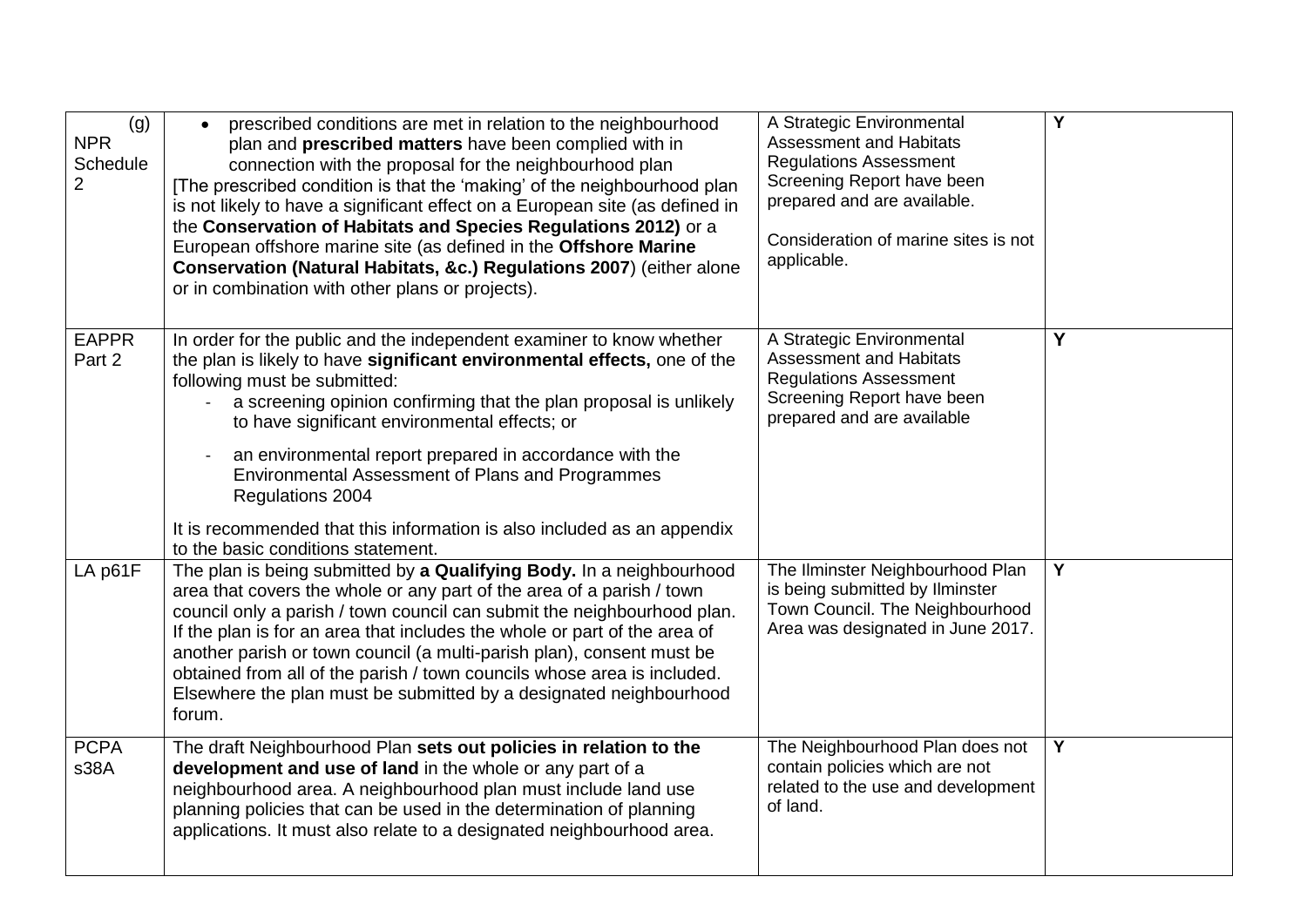| (g)<br><b>NPR</b><br>Schedule<br>$\overline{2}$ | prescribed conditions are met in relation to the neighbourhood<br>$\bullet$<br>plan and <b>prescribed matters</b> have been complied with in<br>connection with the proposal for the neighbourhood plan<br>[The prescribed condition is that the 'making' of the neighbourhood plan<br>is not likely to have a significant effect on a European site (as defined in<br>the Conservation of Habitats and Species Regulations 2012) or a<br>European offshore marine site (as defined in the Offshore Marine<br>Conservation (Natural Habitats, &c.) Regulations 2007) (either alone<br>or in combination with other plans or projects). | A Strategic Environmental<br><b>Assessment and Habitats</b><br><b>Regulations Assessment</b><br>Screening Report have been<br>prepared and are available.<br>Consideration of marine sites is not<br>applicable. | $\overline{\mathsf{Y}}$ |
|-------------------------------------------------|----------------------------------------------------------------------------------------------------------------------------------------------------------------------------------------------------------------------------------------------------------------------------------------------------------------------------------------------------------------------------------------------------------------------------------------------------------------------------------------------------------------------------------------------------------------------------------------------------------------------------------------|------------------------------------------------------------------------------------------------------------------------------------------------------------------------------------------------------------------|-------------------------|
| <b>EAPPR</b><br>Part 2                          | In order for the public and the independent examiner to know whether<br>the plan is likely to have significant environmental effects, one of the<br>following must be submitted:<br>a screening opinion confirming that the plan proposal is unlikely<br>to have significant environmental effects; or<br>an environmental report prepared in accordance with the<br>Environmental Assessment of Plans and Programmes<br>Regulations 2004<br>It is recommended that this information is also included as an appendix<br>to the basic conditions statement.                                                                             | A Strategic Environmental<br><b>Assessment and Habitats</b><br><b>Regulations Assessment</b><br>Screening Report have been<br>prepared and are available                                                         | Y                       |
| LA p61F                                         | The plan is being submitted by a Qualifying Body. In a neighbourhood<br>area that covers the whole or any part of the area of a parish / town<br>council only a parish / town council can submit the neighbourhood plan.<br>If the plan is for an area that includes the whole or part of the area of<br>another parish or town council (a multi-parish plan), consent must be<br>obtained from all of the parish / town councils whose area is included.<br>Elsewhere the plan must be submitted by a designated neighbourhood<br>forum.                                                                                              | The Ilminster Neighbourhood Plan<br>is being submitted by Ilminster<br>Town Council. The Neighbourhood<br>Area was designated in June 2017.                                                                      | $\overline{Y}$          |
| <b>PCPA</b><br>s38A                             | The draft Neighbourhood Plan sets out policies in relation to the<br>development and use of land in the whole or any part of a<br>neighbourhood area. A neighbourhood plan must include land use<br>planning policies that can be used in the determination of planning<br>applications. It must also relate to a designated neighbourhood area.                                                                                                                                                                                                                                                                                       | The Neighbourhood Plan does not<br>contain policies which are not<br>related to the use and development<br>of land.                                                                                              | Y                       |